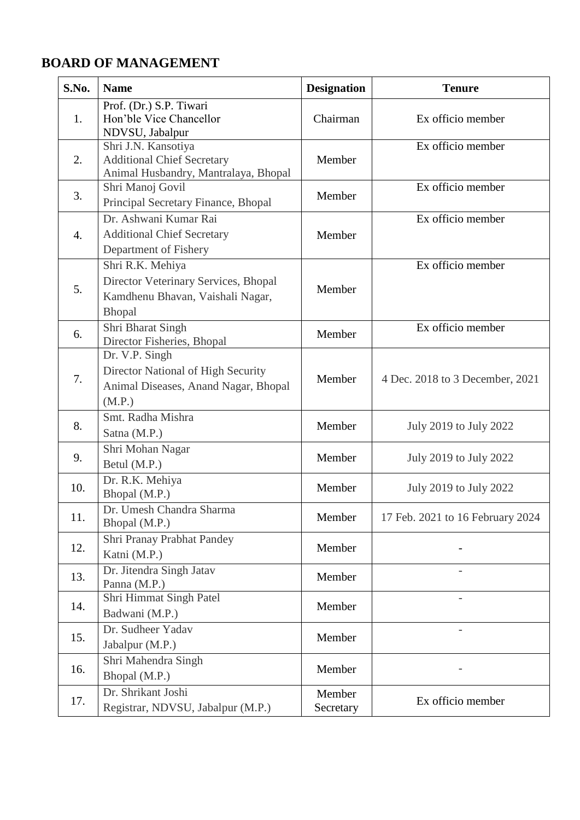## **BOARD OF MANAGEMENT**

| S.No.            | <b>Name</b>                                                                                                   | <b>Designation</b>  | <b>Tenure</b>                    |
|------------------|---------------------------------------------------------------------------------------------------------------|---------------------|----------------------------------|
| 1.               | Prof. (Dr.) S.P. Tiwari<br>Hon'ble Vice Chancellor<br>NDVSU, Jabalpur                                         | Chairman            | Ex officio member                |
| 2.               | Shri J.N. Kansotiya<br><b>Additional Chief Secretary</b><br>Animal Husbandry, Mantralaya, Bhopal              | Member              | Ex officio member                |
| 3.               | Shri Manoj Govil<br>Principal Secretary Finance, Bhopal                                                       | Member              | Ex officio member                |
| $\overline{4}$ . | Dr. Ashwani Kumar Rai<br><b>Additional Chief Secretary</b><br>Department of Fishery                           | Member              | Ex officio member                |
| 5.               | Shri R.K. Mehiya<br>Director Veterinary Services, Bhopal<br>Kamdhenu Bhavan, Vaishali Nagar,<br><b>Bhopal</b> | Member              | Ex officio member                |
| 6.               | Shri Bharat Singh<br>Director Fisheries, Bhopal                                                               | Member              | Ex officio member                |
| 7.               | Dr. V.P. Singh<br>Director National of High Security<br>Animal Diseases, Anand Nagar, Bhopal<br>(M.P.)        | Member              | 4 Dec. 2018 to 3 December, 2021  |
| 8.               | Smt. Radha Mishra<br>Satna (M.P.)                                                                             | Member              | July 2019 to July 2022           |
| 9.               | Shri Mohan Nagar<br>Betul (M.P.)                                                                              | Member              | July 2019 to July 2022           |
| 10.              | Dr. R.K. Mehiya<br>Bhopal (M.P.)                                                                              | Member              | July 2019 to July 2022           |
| 11.              | Dr. Umesh Chandra Sharma<br>Bhopal (M.P.)                                                                     | Member              | 17 Feb. 2021 to 16 February 2024 |
| 12.              | Shri Pranay Prabhat Pandey<br>Katni (M.P.)                                                                    | Member              |                                  |
| 13.              | Dr. Jitendra Singh Jatav<br>Panna (M.P.)                                                                      | Member              |                                  |
| 14.              | Shri Himmat Singh Patel<br>Badwani (M.P.)                                                                     | Member              | $\qquad \qquad -$                |
| 15.              | Dr. Sudheer Yadav<br>Jabalpur (M.P.)                                                                          | Member              |                                  |
| 16.              | Shri Mahendra Singh<br>Bhopal (M.P.)                                                                          | Member              |                                  |
| 17.              | Dr. Shrikant Joshi<br>Registrar, NDVSU, Jabalpur (M.P.)                                                       | Member<br>Secretary | Ex officio member                |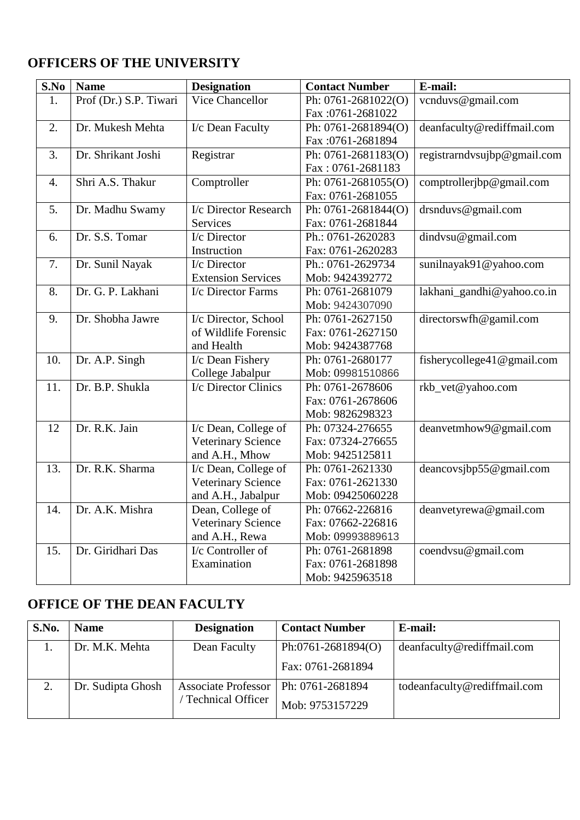# **OFFICERS OF THE UNIVERSITY**

| S.No | <b>Name</b>            | <b>Designation</b>                | <b>Contact Number</b> | E-mail:                     |
|------|------------------------|-----------------------------------|-----------------------|-----------------------------|
| 1.   | Prof (Dr.) S.P. Tiwari | Vice Chancellor                   | Ph: 0761-2681022(O)   | vcnduvs@gmail.com           |
|      |                        |                                   | Fax: 0761-2681022     |                             |
| 2.   | Dr. Mukesh Mehta       | I/c Dean Faculty                  | Ph: 0761-2681894(O)   | deanfaculty@rediffmail.com  |
|      |                        |                                   | Fax: 0761-2681894     |                             |
| 3.   | Dr. Shrikant Joshi     | Registrar                         | Ph: 0761-2681183(O)   | registrarndvsujbp@gmail.com |
|      |                        |                                   | Fax: 0761-2681183     |                             |
| 4.   | Shri A.S. Thakur       | Comptroller                       | Ph: 0761-2681055(O)   | comptrollerjbp@gmail.com    |
|      |                        |                                   | Fax: 0761-2681055     |                             |
| 5.   | Dr. Madhu Swamy        | I/c Director Research             | Ph: 0761-2681844(O)   | drsnduvs@gmail.com          |
|      |                        | Services                          | Fax: 0761-2681844     |                             |
| 6.   | Dr. S.S. Tomar         | $\overline{\text{I}}$ /c Director | Ph.: 0761-2620283     | dindvsu@gmail.com           |
|      |                        | Instruction                       | Fax: 0761-2620283     |                             |
| 7.   | Dr. Sunil Nayak        | I/c Director                      | Ph.: 0761-2629734     | sunilnayak91@yahoo.com      |
|      |                        | <b>Extension Services</b>         | Mob: 9424392772       |                             |
| 8.   | Dr. G. P. Lakhani      | I/c Director Farms                | Ph: 0761-2681079      | lakhani_gandhi@yahoo.co.in  |
|      |                        |                                   | Mob: 9424307090       |                             |
| 9.   | Dr. Shobha Jawre       | I/c Director, School              | Ph: 0761-2627150      | directorswfh@gamil.com      |
|      |                        | of Wildlife Forensic              | Fax: 0761-2627150     |                             |
|      |                        | and Health                        | Mob: 9424387768       |                             |
| 10.  | Dr. A.P. Singh         | I/c Dean Fishery                  | Ph: 0761-2680177      | fisherycollege41@gmail.com  |
|      |                        | College Jabalpur                  | Mob: 09981510866      |                             |
| 11.  | Dr. B.P. Shukla        | I/c Director Clinics              | Ph: 0761-2678606      | rkb_vet@yahoo.com           |
|      |                        |                                   | Fax: 0761-2678606     |                             |
|      |                        |                                   | Mob: 9826298323       |                             |
| 12   | Dr. R.K. Jain          | I/c Dean, College of              | Ph: 07324-276655      | deanvetmhow9@gmail.com      |
|      |                        | <b>Veterinary Science</b>         | Fax: 07324-276655     |                             |
|      |                        | and A.H., Mhow                    | Mob: 9425125811       |                             |
| 13.  | Dr. R.K. Sharma        | I/c Dean, College of              | Ph: 0761-2621330      | deancovsjbp55@gmail.com     |
|      |                        | Veterinary Science                | Fax: 0761-2621330     |                             |
|      |                        | and A.H., Jabalpur                | Mob: 09425060228      |                             |
| 14.  | Dr. A.K. Mishra        | Dean, College of                  | Ph: 07662-226816      | deanvetyrewa@gmail.com      |
|      |                        | Veterinary Science                | Fax: 07662-226816     |                             |
|      |                        | and A.H., Rewa                    | Mob: 09993889613      |                             |
| 15.  | Dr. Giridhari Das      | I/c Controller of                 | Ph: 0761-2681898      | coendvsu@gmail.com          |
|      |                        | Examination                       | Fax: 0761-2681898     |                             |
|      |                        |                                   | Mob: 9425963518       |                             |

## **OFFICE OF THE DEAN FACULTY**

| S.No. | <b>Name</b>       | <b>Designation</b>                     | <b>Contact Number</b> | E-mail:                      |
|-------|-------------------|----------------------------------------|-----------------------|------------------------------|
|       | Dr. M.K. Mehta    | Dean Faculty                           | Ph:0761-2681894(O)    | deanfaculty@rediffmail.com   |
|       |                   |                                        | Fax: 0761-2681894     |                              |
|       | Dr. Sudipta Ghosh | Associate Professor   Ph: 0761-2681894 |                       | todeanfaculty@rediffmail.com |
|       |                   | Technical Officer                      | Mob: 9753157229       |                              |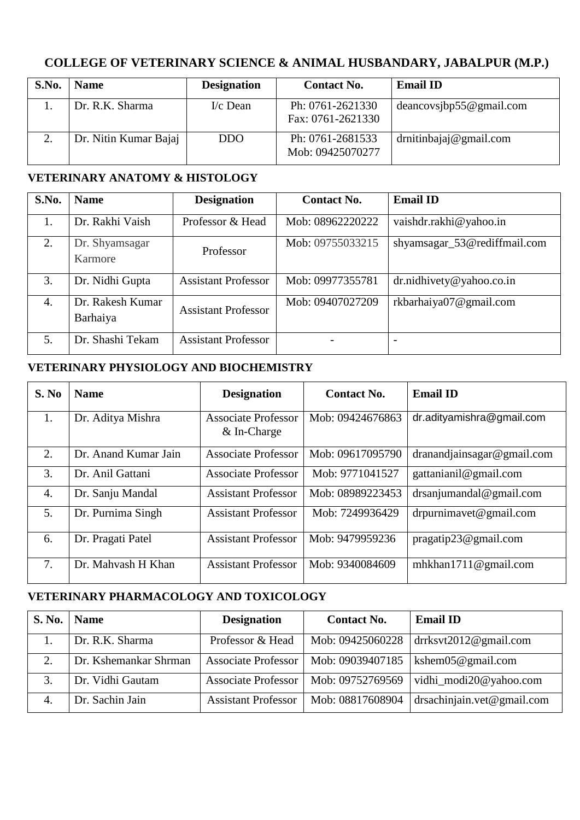#### **COLLEGE OF VETERINARY SCIENCE & ANIMAL HUSBANDARY, JABALPUR (M.P.)**

| S.No. | <b>Name</b>           | <b>Designation</b> | <b>Contact No.</b>                    | <b>Email ID</b>           |
|-------|-----------------------|--------------------|---------------------------------------|---------------------------|
|       | Dr. R.K. Sharma       | $I/c$ Dean         | Ph: 0761-2621330<br>Fax: 0761-2621330 | deancov sibp 55@gmail.com |
|       | Dr. Nitin Kumar Bajaj | <b>DDO</b>         | Ph: 0761-2681533<br>Mob: 09425070277  | drnitinbajaj@gmail.com    |

#### **VETERINARY ANATOMY & HISTOLOGY**

| S.No.            | <b>Name</b>                  | <b>Designation</b>         | <b>Contact No.</b> | <b>Email ID</b>              |
|------------------|------------------------------|----------------------------|--------------------|------------------------------|
| 1.               | Dr. Rakhi Vaish              | Professor & Head           | Mob: 08962220222   | vaishdr.rakhi@yahoo.in       |
| 2.               | Dr. Shyamsagar<br>Karmore    | Professor                  | Mob: 09755033215   | shyamsagar_53@rediffmail.com |
| 3.               | Dr. Nidhi Gupta              | <b>Assistant Professor</b> | Mob: 09977355781   | dr.nidhivety@yahoo.co.in     |
| $\overline{4}$ . | Dr. Rakesh Kumar<br>Barhaiya | <b>Assistant Professor</b> | Mob: 09407027209   | rkbarhaiya07@gmail.com       |
| 5.               | Dr. Shashi Tekam             | <b>Assistant Professor</b> |                    | $\overline{\phantom{0}}$     |

#### **VETERINARY PHYSIOLOGY AND BIOCHEMISTRY**

| S. No | <b>Name</b>          | <b>Designation</b>                          | <b>Contact No.</b> | <b>Email ID</b>            |
|-------|----------------------|---------------------------------------------|--------------------|----------------------------|
| 1.    | Dr. Aditya Mishra    | <b>Associate Professor</b><br>$&$ In-Charge | Mob: 09424676863   | dr.adityamishra@gmail.com  |
| 2.    | Dr. Anand Kumar Jain | <b>Associate Professor</b>                  | Mob: 09617095790   | dranandjainsagar@gmail.com |
| 3.    | Dr. Anil Gattani     | <b>Associate Professor</b>                  | Mob: 9771041527    | gattanianil@gmail.com      |
| 4.    | Dr. Sanju Mandal     | <b>Assistant Professor</b>                  | Mob: 08989223453   | $d$ rsanjumandal@gmail.com |
| 5.    | Dr. Purnima Singh    | <b>Assistant Professor</b>                  | Mob: 7249936429    | $d$ rpurnimavet@gmail.com  |
| 6.    | Dr. Pragati Patel    | <b>Assistant Professor</b>                  | Mob: 9479959236    | pragatip23@gmail.com       |
| 7.    | Dr. Mahyash H Khan   | <b>Assistant Professor</b>                  | Mob: 9340084609    | mhkhan1711@gmail.com       |

#### **VETERINARY PHARMACOLOGY AND TOXICOLOGY**

| <b>S. No.</b> | <b>Name</b>           | <b>Designation</b>         | <b>Contact No.</b> | <b>Email ID</b>             |
|---------------|-----------------------|----------------------------|--------------------|-----------------------------|
|               | Dr. R.K. Sharma       | Professor & Head           | Mob: 09425060228   | $dr$ ksvt $2012@$ gmail.com |
| 2.            | Dr. Kshemankar Shrman | <b>Associate Professor</b> | Mob: 09039407185   | kshem $05@$ gmail.com       |
| 3.            | Dr. Vidhi Gautam      | <b>Associate Professor</b> | Mob: 09752769569   | vidhi_modi20@yahoo.com      |
| 4.            | Dr. Sachin Jain       | <b>Assistant Professor</b> | Mob: 08817608904   | drsachinjain.vet@gmail.com  |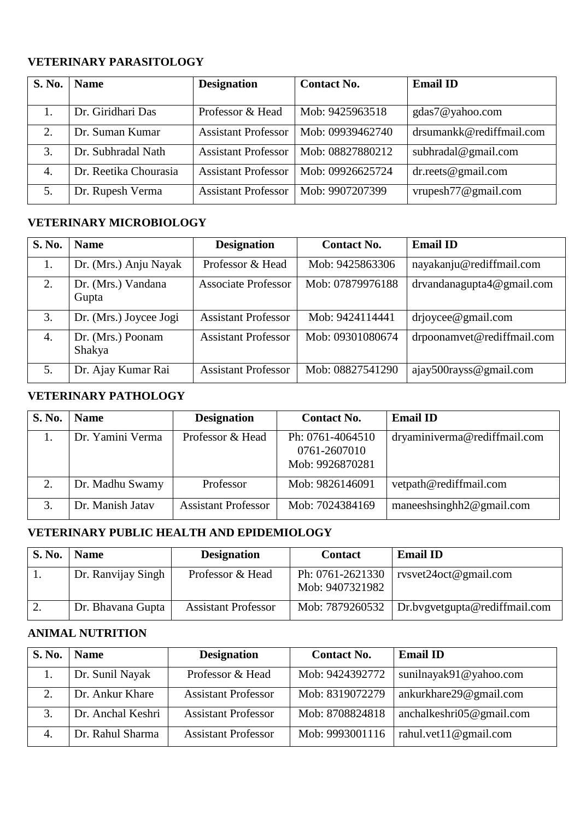#### **VETERINARY PARASITOLOGY**

| <b>S. No.</b> | <b>Name</b>           | <b>Designation</b>         | <b>Contact No.</b> | <b>Email ID</b>          |
|---------------|-----------------------|----------------------------|--------------------|--------------------------|
|               |                       |                            |                    |                          |
|               | Dr. Giridhari Das     | Professor & Head           | Mob: 9425963518    | gdas7@yahoo.com          |
| 2.            | Dr. Suman Kumar       | <b>Assistant Professor</b> | Mob: 09939462740   | drsumankk@rediffmail.com |
| 3.            | Dr. Subhradal Nath    | <b>Assistant Professor</b> | Mob: 08827880212   | subhradal@gmail.com      |
| 4.            | Dr. Reetika Chourasia | <b>Assistant Professor</b> | Mob: 09926625724   | $dr.$ reets@gmail.com    |
| 5.            | Dr. Rupesh Verma      | <b>Assistant Professor</b> | Mob: 9907207399    | vrupesh $77@$ gmail.com  |

#### **VETERINARY MICROBIOLOGY**

| <b>S. No.</b> | <b>Name</b>                 | <b>Designation</b>         | <b>Contact No.</b> | <b>Email ID</b>            |
|---------------|-----------------------------|----------------------------|--------------------|----------------------------|
| 1.            | Dr. (Mrs.) Anju Nayak       | Professor & Head           | Mob: 9425863306    | nayakanju@rediffmail.com   |
| 2.            | Dr. (Mrs.) Vandana<br>Gupta | <b>Associate Professor</b> | Mob: 07879976188   | drvandanagupta4@gmail.com  |
| 3.            | Dr. (Mrs.) Joycee Jogi      | <b>Assistant Professor</b> | Mob: 9424114441    | drjoycee@gmail.com         |
| 4.            | Dr. (Mrs.) Poonam<br>Shakya | <b>Assistant Professor</b> | Mob: 09301080674   | drpoonamvet@rediffmail.com |
| 5.            | Dr. Ajay Kumar Rai          | <b>Assistant Professor</b> | Mob: 08827541290   | ajay500rayss@gmail.com     |

#### **VETERINARY PATHOLOGY**

| <b>S. No.</b> | <b>Name</b>      | <b>Designation</b>         | <b>Contact No.</b>                                  | <b>Email ID</b>              |
|---------------|------------------|----------------------------|-----------------------------------------------------|------------------------------|
|               | Dr. Yamini Verma | Professor & Head           | Ph: 0761-4064510<br>0761-2607010<br>Mob: 9926870281 | dryaminiverma@rediffmail.com |
|               | Dr. Madhu Swamy  | Professor                  | Mob: 9826146091                                     | vetpath@rediffmail.com       |
|               | Dr. Manish Jatav | <b>Assistant Professor</b> | Mob: 7024384169                                     | maneeshsinghh $2@$ gmail.com |

#### **VETERINARY PUBLIC HEALTH AND EPIDEMIOLOGY**

| S. No. | <b>Name</b>        | <b>Designation</b>         | <b>Contact</b>                      | <b>Email ID</b>                                 |
|--------|--------------------|----------------------------|-------------------------------------|-------------------------------------------------|
|        | Dr. Ranvijay Singh | Professor & Head           | Ph: 0761-2621330<br>Mob: 9407321982 | rvsvet24 $oct@$ gmail.com                       |
| 2.     | Dr. Bhavana Gupta  | <b>Assistant Professor</b> |                                     | Mob: 7879260532   Dr.bvgvetgupta@rediffmail.com |

#### **ANIMAL NUTRITION**

| <b>S. No.</b> | <b>Name</b>       | <b>Designation</b>         | <b>Contact No.</b> | <b>Email ID</b>              |
|---------------|-------------------|----------------------------|--------------------|------------------------------|
|               | Dr. Sunil Nayak   | Professor & Head           | Mob: 9424392772    | sunilnayak91@yahoo.com       |
|               | Dr. Ankur Khare   | <b>Assistant Professor</b> | Mob: 8319072279    | ankurkhare29@gmail.com       |
| 3.            | Dr. Anchal Keshri | <b>Assistant Professor</b> | Mob: 8708824818    | anchalkeshri $05@$ gmail.com |
| 4.            | Dr. Rahul Sharma  | <b>Assistant Professor</b> | Mob: 9993001116    | rahul.vet11@gmail.com        |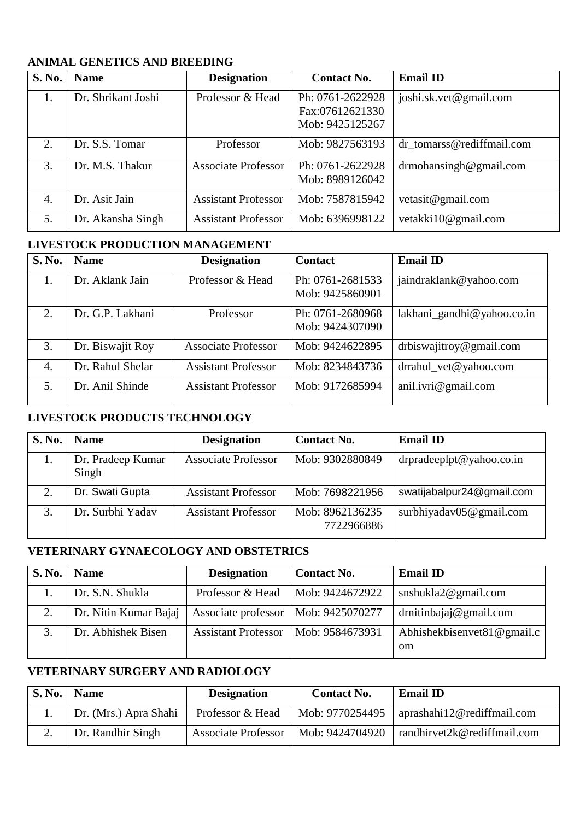| <b>S. No.</b> | <b>Name</b>        | <b>Designation</b>         | <b>Contact No.</b> | <b>Email ID</b>           |
|---------------|--------------------|----------------------------|--------------------|---------------------------|
| 1.            | Dr. Shrikant Joshi | Professor & Head           | Ph: 0761-2622928   | joshi.sk.vet@gmail.com    |
|               |                    |                            | Fax:07612621330    |                           |
|               |                    |                            | Mob: 9425125267    |                           |
| 2.            | Dr. S.S. Tomar     | Professor                  | Mob: 9827563193    | dr_tomarss@rediffmail.com |
| 3.            | Dr. M.S. Thakur    | <b>Associate Professor</b> | Ph: 0761-2622928   | $d$ rmohansingh@gmail.com |
|               |                    |                            | Mob: 8989126042    |                           |
| 4.            | Dr. Asit Jain      | <b>Assistant Professor</b> | Mob: 7587815942    | vetasit@gmail.com         |
| 5.            | Dr. Akansha Singh  | <b>Assistant Professor</b> | Mob: 6396998122    | vetakki10@gmail.com       |

#### **ANIMAL GENETICS AND BREEDING**

#### **LIVESTOCK PRODUCTION MANAGEMENT**

| <b>S. No.</b> | <b>Name</b>      | <b>Designation</b>         | <b>Contact</b>                      | <b>Email ID</b>            |
|---------------|------------------|----------------------------|-------------------------------------|----------------------------|
| 1.            | Dr. Aklank Jain  | Professor & Head           | Ph: 0761-2681533<br>Mob: 9425860901 | jaindraklank@yahoo.com     |
| 2.            | Dr. G.P. Lakhani | Professor                  | Ph: 0761-2680968<br>Mob: 9424307090 | lakhani_gandhi@yahoo.co.in |
| 3.            | Dr. Biswajit Roy | <b>Associate Professor</b> | Mob: 9424622895                     | drbiswajitroy@gmail.com    |
| 4.            | Dr. Rahul Shelar | <b>Assistant Professor</b> | Mob: 8234843736                     | drrahul_vet@yahoo.com      |
| 5.            | Dr. Anil Shinde  | <b>Assistant Professor</b> | Mob: 9172685994                     | anil.ivri@gmail.com        |

#### **LIVESTOCK PRODUCTS TECHNOLOGY**

| S. No. | <b>Name</b>                | <b>Designation</b>         | <b>Contact No.</b>            | <b>Email ID</b>             |
|--------|----------------------------|----------------------------|-------------------------------|-----------------------------|
| 1.     | Dr. Pradeep Kumar<br>Singh | <b>Associate Professor</b> | Mob: 9302880849               | drpradeeplpt@yahoo.co.in    |
| 2.     | Dr. Swati Gupta            | <b>Assistant Professor</b> | Mob: 7698221956               | swatijabalpur24@gmail.com   |
| 3.     | Dr. Surbhi Yadav           | <b>Assistant Professor</b> | Mob: 8962136235<br>7722966886 | surbhiyaday $05@$ gmail.com |

#### **VETERINARY GYNAECOLOGY AND OBSTETRICS**

| <b>S. No.</b> | <b>Name</b>           | <b>Designation</b>         | <b>Contact No.</b> | <b>Email ID</b>                      |
|---------------|-----------------------|----------------------------|--------------------|--------------------------------------|
|               | Dr. S.N. Shukla       | Professor & Head           | Mob: 9424672922    | snshukla $2@$ gmail.com              |
| 2.            | Dr. Nitin Kumar Bajaj | Associate professor        | Mob: 9425070277    | drnithbaja@gmail.com                 |
| 3.            | Dr. Abhishek Bisen    | <b>Assistant Professor</b> | Mob: 9584673931    | Abhishekbisenvet $81@$ gmail.c<br>om |

#### **VETERINARY SURGERY AND RADIOLOGY**

| S. No. | <b>Name</b>           | <b>Designation</b>         | <b>Contact No.</b> | <b>Email ID</b>                           |
|--------|-----------------------|----------------------------|--------------------|-------------------------------------------|
|        | Dr. (Mrs.) Apra Shahi | Professor & Head           | Mob: 9770254495    | $\frac{1}{2}$ aprashahi12@rediffmail.com  |
|        | Dr. Randhir Singh     | <b>Associate Professor</b> | Mob: 9424704920    | $\frac{1}{2}$ randhirvet2k@rediffmail.com |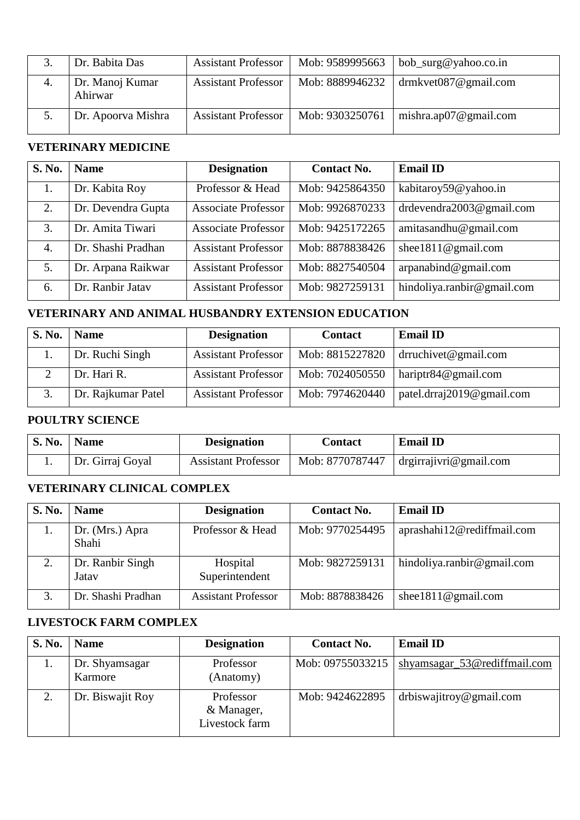|    | Dr. Babita Das             | <b>Assistant Professor</b> | Mob: 9589995663 | bob_surg@yahoo.co.in  |
|----|----------------------------|----------------------------|-----------------|-----------------------|
| 4. | Dr. Manoj Kumar<br>Ahirwar | <b>Assistant Professor</b> | Mob: 8889946232 | drmkvet087@gmail.com  |
|    | Dr. Apoorva Mishra         | <b>Assistant Professor</b> | Mob: 9303250761 | mishra.ap07@gmail.com |

#### **VETERINARY MEDICINE**

| S. No. | <b>Name</b>        | <b>Designation</b>         | <b>Contact No.</b> | <b>Email ID</b>            |
|--------|--------------------|----------------------------|--------------------|----------------------------|
|        | Dr. Kabita Roy     | Professor & Head           | Mob: 9425864350    | kabitaroy59@yahoo.in       |
| 2.     | Dr. Devendra Gupta | <b>Associate Professor</b> | Mob: 9926870233    | drdevendra2003@gmail.com   |
| 3.     | Dr. Amita Tiwari   | <b>Associate Professor</b> | Mob: 9425172265    | amitasandhu@gmail.com      |
| 4.     | Dr. Shashi Pradhan | <b>Assistant Professor</b> | Mob: 8878838426    | shee $1811@$ gmail.com     |
| 5.     | Dr. Arpana Raikwar | <b>Assistant Professor</b> | Mob: 8827540504    | arganabind@gmail.com       |
| 6.     | Dr. Ranbir Jatav   | <b>Assistant Professor</b> | Mob: 9827259131    | hindoliya.ranbir@gmail.com |

#### **VETERINARY AND ANIMAL HUSBANDRY EXTENSION EDUCATION**

| S. No. | <b>Name</b>        | <b>Designation</b>         | <b>Contact</b>  | <b>Email ID</b>           |
|--------|--------------------|----------------------------|-----------------|---------------------------|
|        | Dr. Ruchi Singh    | <b>Assistant Professor</b> | Mob: 8815227820 | drruchivet@gmail.com      |
|        | Dr. Hari R.        | <b>Assistant Professor</b> | Mob: 7024050550 | hariptr84@gmail.com       |
|        | Dr. Rajkumar Patel | <b>Assistant Professor</b> | Mob: 7974620440 | patel.drraj2019@gmail.com |

#### **POULTRY SCIENCE**

| <b>S. No.</b> | <b>Name</b>      | <b>Designation</b>         | Contact         | <b>Email ID</b>               |
|---------------|------------------|----------------------------|-----------------|-------------------------------|
|               | Dr. Girraj Goyal | <b>Assistant Professor</b> | Mob: 8770787447 | $\int$ drgirrajivri@gmail.com |

#### **VETERINARY CLINICAL COMPLEX**

| S. No. | <b>Name</b>               | <b>Designation</b>         | <b>Contact No.</b> | <b>Email ID</b>            |
|--------|---------------------------|----------------------------|--------------------|----------------------------|
|        | Dr. (Mrs.) Apra<br>Shahi  | Professor & Head           | Mob: 9770254495    | aprashahi12@rediffmail.com |
|        | Dr. Ranbir Singh<br>Jatav | Hospital<br>Superintendent | Mob: 9827259131    | hindoliya.ranbir@gmail.com |
|        | Dr. Shashi Pradhan        | <b>Assistant Professor</b> | Mob: 8878838426    | shee $1811@$ gmail.com     |

#### **LIVESTOCK FARM COMPLEX**

| S. No. | <b>Name</b>               | <b>Designation</b>                        | <b>Contact No.</b> | <b>Email ID</b>              |
|--------|---------------------------|-------------------------------------------|--------------------|------------------------------|
|        | Dr. Shyamsagar<br>Karmore | Professor<br>(Anatomy)                    | Mob: 09755033215   | shyamsagar_53@rediffmail.com |
|        | Dr. Biswajit Roy          | Professor<br>& Manager,<br>Livestock farm | Mob: 9424622895    | drbiswajitroy@gmail.com      |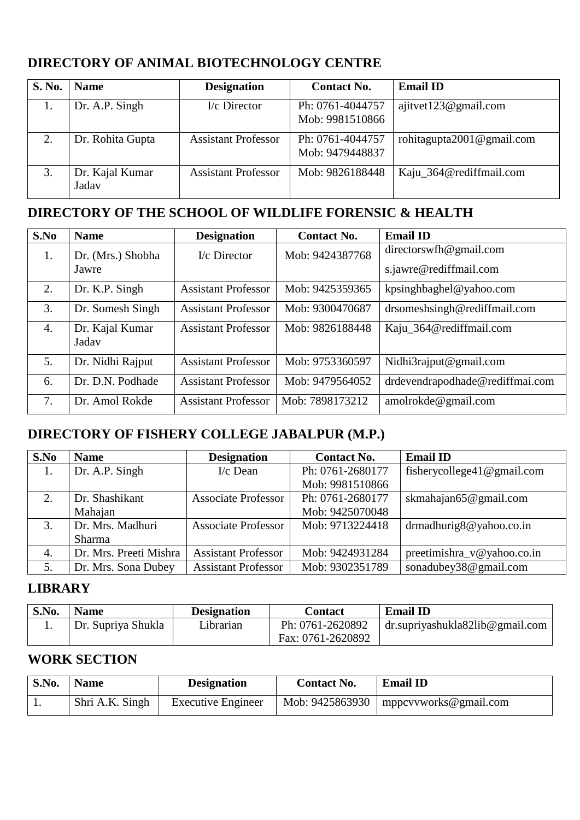## **DIRECTORY OF ANIMAL BIOTECHNOLOGY CENTRE**

| <b>S. No.</b> | <b>Name</b>              | <b>Designation</b>         | <b>Contact No.</b>                  | <b>Email ID</b>           |
|---------------|--------------------------|----------------------------|-------------------------------------|---------------------------|
| 1.            | Dr. A.P. Singh           | I/c Director               | Ph: 0761-4044757<br>Mob: 9981510866 | ajitvet123@gmail.com      |
| 2.            | Dr. Rohita Gupta         | <b>Assistant Professor</b> | Ph: 0761-4044757<br>Mob: 9479448837 | rohitagupta2001@gmail.com |
|               | Dr. Kajal Kumar<br>Jadav | <b>Assistant Professor</b> | Mob: 9826188448                     | Kaju_364@rediffmail.com   |

## **DIRECTORY OF THE SCHOOL OF WILDLIFE FORENSIC & HEALTH**

| S.No             | <b>Name</b>              | <b>Designation</b>         | <b>Contact No.</b> | <b>Email ID</b>                 |
|------------------|--------------------------|----------------------------|--------------------|---------------------------------|
| 1.               | Dr. (Mrs.) Shobha        | $I/c$ Director             | Mob: 9424387768    | directorswfh@gmail.com          |
|                  | Jawre                    |                            |                    | s.jawre@rediffmail.com          |
| 2.               | Dr. K.P. Singh           | <b>Assistant Professor</b> | Mob: 9425359365    | kpsinghbaghel@yahoo.com         |
| 3.               | Dr. Somesh Singh         | <b>Assistant Professor</b> | Mob: 9300470687    | drsomeshsingh@rediffmail.com    |
| $\overline{4}$ . | Dr. Kajal Kumar<br>Jadav | <b>Assistant Professor</b> | Mob: 9826188448    | Kaju_364@rediffmail.com         |
|                  |                          |                            |                    |                                 |
| 5 <sub>1</sub>   | Dr. Nidhi Rajput         | <b>Assistant Professor</b> | Mob: 9753360597    | Nidhi3rajput@gmail.com          |
| 6.               | Dr. D.N. Podhade         | <b>Assistant Professor</b> | Mob: 9479564052    | drdevendrapodhade@rediffmai.com |
| 7.               | Dr. Amol Rokde           | <b>Assistant Professor</b> | Mob: 7898173212    | amolrokde@gmail.com             |

#### **DIRECTORY OF FISHERY COLLEGE JABALPUR (M.P.)**

| S.No | <b>Name</b>            | <b>Designation</b>         | <b>Contact No.</b> | <b>Email ID</b>                |
|------|------------------------|----------------------------|--------------------|--------------------------------|
| 1.   | Dr. A.P. Singh         | $I/c$ Dean                 | Ph: 0761-2680177   | fisherycollege41@gmail.com     |
|      |                        |                            | Mob: 9981510866    |                                |
| 2.   | Dr. Shashikant         | <b>Associate Professor</b> | Ph: 0761-2680177   | skmahajan65@gmail.com          |
|      | Mahajan                |                            | Mob: 9425070048    |                                |
| 3.   | Dr. Mrs. Madhuri       | <b>Associate Professor</b> | Mob: 9713224418    | $drm$ adhurig $8@$ yahoo.co.in |
|      | Sharma                 |                            |                    |                                |
| 4.   | Dr. Mrs. Preeti Mishra | <b>Assistant Professor</b> | Mob: 9424931284    | preetimishra_v@yahoo.co.in     |
| 5.   | Dr. Mrs. Sona Dubey    | <b>Assistant Professor</b> | Mob: 9302351789    | sonadubey38@gmail.com          |

#### **LIBRARY**

| S.No. | <b>Name</b>        | <b>Designation</b> | Contact           | <b>Email ID</b>                          |
|-------|--------------------|--------------------|-------------------|------------------------------------------|
|       | Dr. Supriya Shukla | Librarian          | Ph: 0761-2620892  | $\alpha$ dr.supriyashukla82lib@gmail.com |
|       |                    |                    | Fax: 0761-2620892 |                                          |

#### **WORK SECTION**

| S.No. | <b>Name</b>     | <b>Designation</b>        | <b>Contact No.</b> | <b>Email ID</b>                           |
|-------|-----------------|---------------------------|--------------------|-------------------------------------------|
| . .   | Shri A.K. Singh | <b>Executive Engineer</b> |                    | Mob: $9425863930$   mppcvvworks@gmail.com |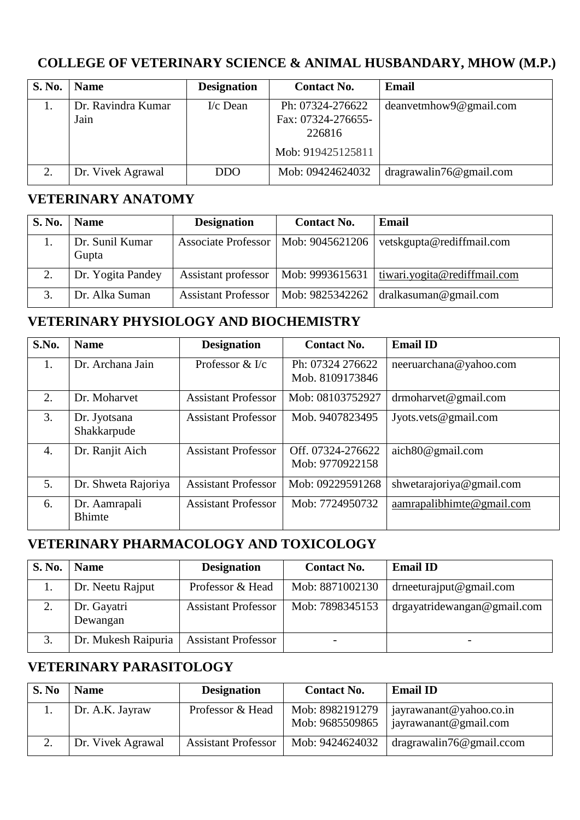## **COLLEGE OF VETERINARY SCIENCE & ANIMAL HUSBANDARY, MHOW (M.P.)**

| <b>S. No.</b> | <b>Name</b>                | <b>Designation</b> | <b>Contact No.</b>                                                    | Email                   |
|---------------|----------------------------|--------------------|-----------------------------------------------------------------------|-------------------------|
|               | Dr. Ravindra Kumar<br>Jain | $I/c$ Dean         | Ph: 07324-276622<br>Fax: 07324-276655-<br>226816<br>Mob: 919425125811 | deanvetmhow9@gmail.com  |
| 2.            | Dr. Vivek Agrawal          | <b>DDO</b>         | Mob: 09424624032                                                      | dragrawalin76@gmail.com |

#### **VETERINARY ANATOMY**

| <b>S. No.</b> | <b>Name</b>              | <b>Designation</b>         | <b>Contact No.</b> | Email                                     |
|---------------|--------------------------|----------------------------|--------------------|-------------------------------------------|
|               | Dr. Sunil Kumar<br>Gupta | Associate Professor        | Mob: 9045621206    | vetskgupta@rediffmail.com                 |
|               | Dr. Yogita Pandey        | Assistant professor        | Mob: 9993615631    | tiwari.yogita@rediffmail.com              |
| 3.            | Dr. Alka Suman           | <b>Assistant Professor</b> |                    | Mob: $9825342262$   dralkasuman@gmail.com |

#### **VETERINARY PHYSIOLOGY AND BIOCHEMISTRY**

| S.No. | <b>Name</b>         | <b>Designation</b>         | <b>Contact No.</b> | <b>Email ID</b>           |
|-------|---------------------|----------------------------|--------------------|---------------------------|
| 1.    | Dr. Archana Jain    | Professor $&$ I/c          | Ph: 07324 276622   | neeruarchana@yahoo.com    |
|       |                     |                            | Mob. 8109173846    |                           |
| 2.    | Dr. Moharvet        | <b>Assistant Professor</b> | Mob: 08103752927   | $d$ rmoharvet@gmail.com   |
| 3.    | Dr. Jyotsana        | <b>Assistant Professor</b> | Mob. 9407823495    | Jyots.vets@gmail.com      |
|       | Shakkarpude         |                            |                    |                           |
| 4.    | Dr. Ranjit Aich     | <b>Assistant Professor</b> | Off. 07324-276622  | aich80@gmail.com          |
|       |                     |                            | Mob: 9770922158    |                           |
| 5.    | Dr. Shweta Rajoriya | <b>Assistant Professor</b> | Mob: 09229591268   | shwetarajoriya@gmail.com  |
| 6.    | Dr. Aamrapali       | <b>Assistant Professor</b> | Mob: 7724950732    | aamrapalibhimte@gmail.com |
|       | <b>Bhimte</b>       |                            |                    |                           |

#### **VETERINARY PHARMACOLOGY AND TOXICOLOGY**

| S. No. | <b>Name</b>             | <b>Designation</b>         | <b>Contact No.</b> | <b>Email ID</b>             |
|--------|-------------------------|----------------------------|--------------------|-----------------------------|
|        | Dr. Neetu Rajput        | Professor & Head           | Mob: 8871002130    | drneeturajput@gmail.com     |
|        | Dr. Gayatri<br>Dewangan | <b>Assistant Professor</b> | Mob: 7898345153    | drgayatridewangan@gmail.com |
|        | Dr. Mukesh Raipuria     | <b>Assistant Professor</b> |                    |                             |

## **VETERINARY PARASITOLOGY**

| S. No | <b>Name</b>       | <b>Designation</b>         | <b>Contact No.</b>                 | <b>Email ID</b>                                  |
|-------|-------------------|----------------------------|------------------------------------|--------------------------------------------------|
|       | Dr. A.K. Jayraw   | Professor & Head           | Mob: 8982191279<br>Mob: 9685509865 | jayrawanant@yahoo.co.in<br>jayrawanant@gmail.com |
|       | Dr. Vivek Agrawal | <b>Assistant Professor</b> | Mob: 9424624032                    | dragrawalin76@gmail.com                          |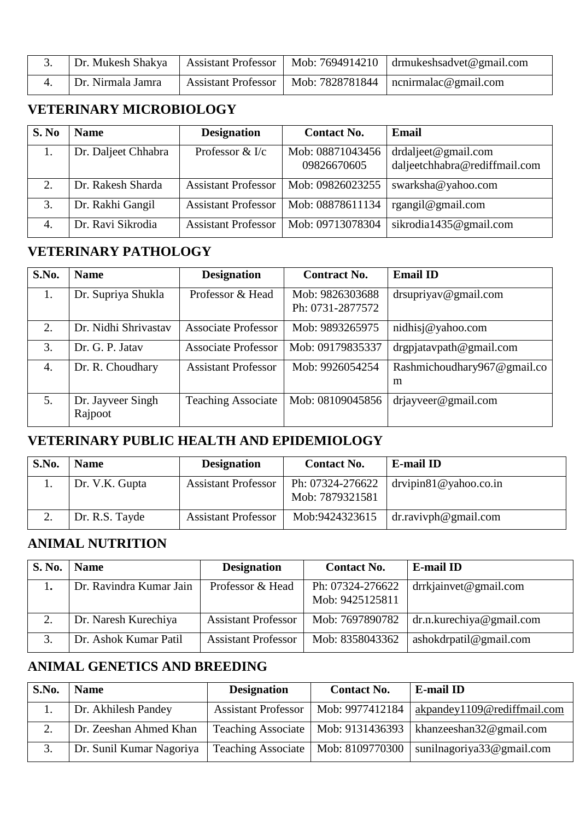|                   |  | Dr. Mukesh Shakya   Assistant Professor   Mob: 7694914210   drmukeshsadvet@gmail.com |
|-------------------|--|--------------------------------------------------------------------------------------|
| Dr. Nirmala Jamra |  | Assistant Professor   Mob: 7828781844   nonirmalac@gmail.com                         |

## **VETERINARY MICROBIOLOGY**

| S. No | <b>Name</b>         | <b>Designation</b>           | <b>Contact No.</b>              | Email                                                |
|-------|---------------------|------------------------------|---------------------------------|------------------------------------------------------|
|       | Dr. Daljeet Chhabra | Professor $&\mathcal{K}$ I/c | Mob: 08871043456<br>09826670605 | drdaljeet@gmail.com<br>daljeetchhabra@rediffmail.com |
| 2.    | Dr. Rakesh Sharda   | <b>Assistant Professor</b>   | Mob: 09826023255                | swarksha@yahoo.com                                   |
| 3.    | Dr. Rakhi Gangil    | <b>Assistant Professor</b>   | Mob: 08878611134                | rgangil@gmail.com                                    |
| 4.    | Dr. Ravi Sikrodia   | <b>Assistant Professor</b>   | Mob: 09713078304                | sikrodia1435@gmail.com                               |

## **VETERINARY PATHOLOGY**

| S.No.            | <b>Name</b>                  | <b>Designation</b>         | <b>Contract No.</b>                 | <b>Email ID</b>                      |
|------------------|------------------------------|----------------------------|-------------------------------------|--------------------------------------|
| 1.               | Dr. Supriya Shukla           | Professor & Head           | Mob: 9826303688<br>Ph: 0731-2877572 | $dr$ supriyav@gmail.com              |
| 2.               | Dr. Nidhi Shrivastav         | <b>Associate Professor</b> | Mob: 9893265975                     | nidhisj@yahoo.com                    |
| 3.               | Dr. G. P. Jatav              | <b>Associate Professor</b> | Mob: 09179835337                    | $dr$ gpjatavpath@gmail.com           |
| $\overline{4}$ . | Dr. R. Choudhary             | <b>Assistant Professor</b> | Mob: 9926054254                     | Rashmichoudhary967 $@$ gmail.co<br>m |
| 5.               | Dr. Jayveer Singh<br>Rajpoot | <b>Teaching Associate</b>  | Mob: 08109045856                    | $dri$ ayveer@gmail.com               |

## **VETERINARY PUBLIC HEALTH AND EPIDEMIOLOGY**

| S.No. | <b>Name</b>    | <b>Designation</b>         | <b>Contact No.</b>                  | <b>E-mail ID</b>         |
|-------|----------------|----------------------------|-------------------------------------|--------------------------|
|       | Dr. V.K. Gupta | <b>Assistant Professor</b> | Ph: 07324-276622<br>Mob: 7879321581 | $drvipin81@$ yahoo.co.in |
|       | Dr. R.S. Tayde | <b>Assistant Professor</b> | Mob:9424323615                      | $dr$ .ravivph@gmail.com  |

#### **ANIMAL NUTRITION**

| <b>S. No.</b> | <b>Name</b>             | <b>Designation</b>         | <b>Contact No.</b>                  | <b>E-mail ID</b>         |
|---------------|-------------------------|----------------------------|-------------------------------------|--------------------------|
|               | Dr. Ravindra Kumar Jain | Professor & Head           | Ph: 07324-276622<br>Mob: 9425125811 | $drr$ kjainvet@gmail.com |
| $\gamma$      | Dr. Naresh Kurechiya    | <b>Assistant Professor</b> | Mob: 7697890782                     | dr.n.kurechiya@gmail.com |
|               | Dr. Ashok Kumar Patil   | <b>Assistant Professor</b> | Mob: 8358043362                     | ashokdrpatil@gmail.com   |

## **ANIMAL GENETICS AND BREEDING**

| S.No. | <b>Name</b>              | <b>Designation</b>                   | <b>Contact No.</b> | <b>E-mail ID</b>              |
|-------|--------------------------|--------------------------------------|--------------------|-------------------------------|
|       | Dr. Akhilesh Pandey      | <b>Assistant Professor</b>           | Mob: 9977412184    | akpandey1109@rediffmail.com   |
|       | Dr. Zeeshan Ahmed Khan   | Teaching Associate   Mob: 9131436393 |                    | khanzeeshan $32@$ gmail.com   |
|       | Dr. Sunil Kumar Nagoriya | Teaching Associate                   | Mob: 8109770300    | sunilnagoriya $33@$ gmail.com |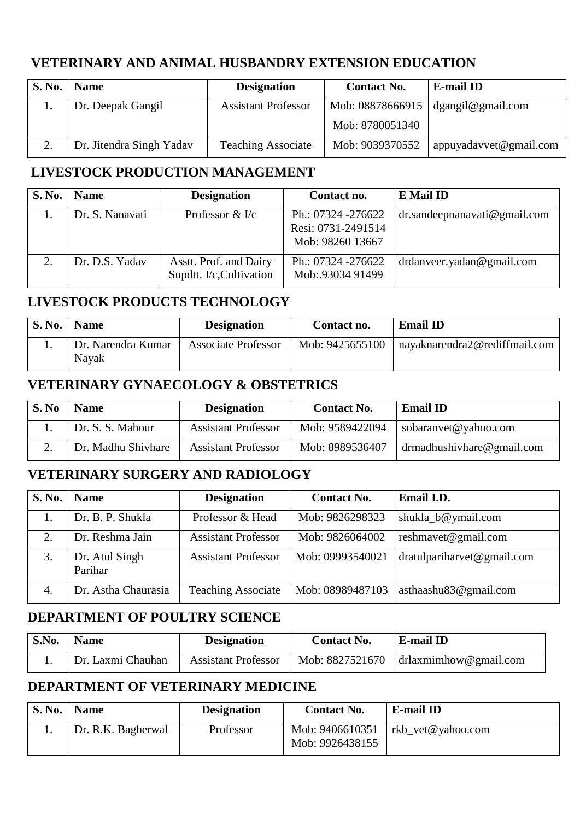#### **VETERINARY AND ANIMAL HUSBANDRY EXTENSION EDUCATION**

| S. No. | <b>Name</b>              | <b>Designation</b>         | <b>Contact No.</b> | <b>E-mail ID</b>       |
|--------|--------------------------|----------------------------|--------------------|------------------------|
|        | Dr. Deepak Gangil        | <b>Assistant Professor</b> | Mob: 08878666915   | dgangil@gmail.com      |
|        |                          |                            | Mob: 8780051340    |                        |
|        | Dr. Jitendra Singh Yadav | <b>Teaching Associate</b>  | Mob: 9039370552    | appuyadavvet@gmail.com |

### **LIVESTOCK PRODUCTION MANAGEMENT**

| S. No.    | <b>Name</b>     | <b>Designation</b>                                 | Contact no.                                                  | <b>E</b> Mail ID                |
|-----------|-----------------|----------------------------------------------------|--------------------------------------------------------------|---------------------------------|
|           | Dr. S. Nanavati | Professor $&\&\,$                                  | Ph.: 07324 -276622<br>Resi: 0731-2491514<br>Mob: 98260 13667 | $dr$ .sandeepnanavati@gmail.com |
| $\bigcap$ | Dr. D.S. Yadav  | Asstt. Prof. and Dairy<br>Supdtt. I/c, Cultivation | Ph.: 07324 -276622<br>Mob:.93034 91499                       | drdanveer.yadan@gmail.com       |

## **LIVESTOCK PRODUCTS TECHNOLOGY**

| <b>S. No.</b> | <b>Name</b>                 | <b>Designation</b>         | Contact no.     | <b>Email ID</b>               |
|---------------|-----------------------------|----------------------------|-----------------|-------------------------------|
|               | Dr. Narendra Kumar<br>Navak | <b>Associate Professor</b> | Mob: 9425655100 | nayaknarendra2@rediffmail.com |

#### **VETERINARY GYNAECOLOGY & OBSTETRICS**

| S. No | <b>Name</b>        | <b>Designation</b>         | <b>Contact No.</b> | <b>Email ID</b>              |
|-------|--------------------|----------------------------|--------------------|------------------------------|
|       | Dr. S. S. Mahour   | <b>Assistant Professor</b> | Mob: 9589422094    | sobaranvet@yahoo.com         |
|       | Dr. Madhu Shivhare | <b>Assistant Professor</b> | Mob: 8989536407    | $d$ rmadhushivhare@gmail.com |

## **VETERINARY SURGERY AND RADIOLOGY**

| S. No. | <b>Name</b>               | <b>Designation</b>         | <b>Contact No.</b> | Email I.D.                 |
|--------|---------------------------|----------------------------|--------------------|----------------------------|
|        | Dr. B. P. Shukla          | Professor & Head           | Mob: 9826298323    | shukla_b@ymail.com         |
| 2.     | Dr. Reshma Jain           | <b>Assistant Professor</b> | Mob: 9826064002    | reshmavet@gmail.com        |
| 3.     | Dr. Atul Singh<br>Parihar | <b>Assistant Professor</b> | Mob: 09993540021   | dratulpariharvet@gmail.com |
| 4.     | Dr. Astha Chaurasia       | <b>Teaching Associate</b>  | Mob: 08989487103   | asthaashu83@gmail.com      |

#### **DEPARTMENT OF POULTRY SCIENCE**

| S.No. | <b>Name</b>       | <b>Designation</b>         | <b>Contact No.</b> | E-mail ID                                 |
|-------|-------------------|----------------------------|--------------------|-------------------------------------------|
|       | Dr. Laxmi Chauhan | <b>Assistant Professor</b> |                    | Mob: $8827521670$   drlaxmimhow@gmail.com |

## **DEPARTMENT OF VETERINARY MEDICINE**

| <b>S. No.</b> | <b>Name</b>        | <b>Designation</b> | <b>Contact No.</b>                 | E-mail ID         |
|---------------|--------------------|--------------------|------------------------------------|-------------------|
|               | Dr. R.K. Bagherwal | Professor          | Mob: 9406610351<br>Mob: 9926438155 | rkb vet@yahoo.com |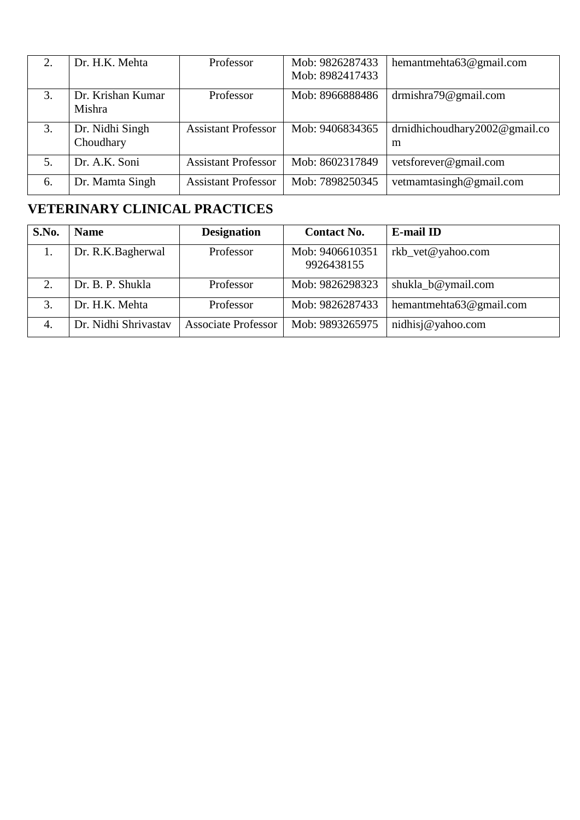| 2. | Dr. H.K. Mehta               | Professor                  | Mob: 9826287433<br>Mob: 8982417433 | hemantmehta63@gmail.com                |
|----|------------------------------|----------------------------|------------------------------------|----------------------------------------|
| 3. | Dr. Krishan Kumar<br>Mishra  | Professor                  | Mob: 8966888486                    | drmishra79@gmail.com                   |
| 3. | Dr. Nidhi Singh<br>Choudhary | <b>Assistant Professor</b> | Mob: 9406834365                    | drnidhichoudhary $2002@$ gmail.co<br>m |
| 5. | Dr. A.K. Soni                | <b>Assistant Professor</b> | Mob: 8602317849                    | vetsforever@gmail.com                  |
| 6. | Dr. Mamta Singh              | <b>Assistant Professor</b> | Mob: 7898250345                    | vetmamtasingh@gmail.com                |

## **VETERINARY CLINICAL PRACTICES**

| S.No. | <b>Name</b>          | <b>Designation</b>         | <b>Contact No.</b>            | <b>E-mail ID</b>        |
|-------|----------------------|----------------------------|-------------------------------|-------------------------|
| 1.    | Dr. R.K.Bagherwal    | Professor                  | Mob: 9406610351<br>9926438155 | rkb_vet@yahoo.com       |
| 2.    | Dr. B. P. Shukla     | Professor                  | Mob: 9826298323               | shukla_b@ymail.com      |
| 3.    | Dr. H.K. Mehta       | Professor                  | Mob: 9826287433               | hemantmehta63@gmail.com |
| 4.    | Dr. Nidhi Shrivastav | <b>Associate Professor</b> | Mob: 9893265975               | nidhisj@yahoo.com       |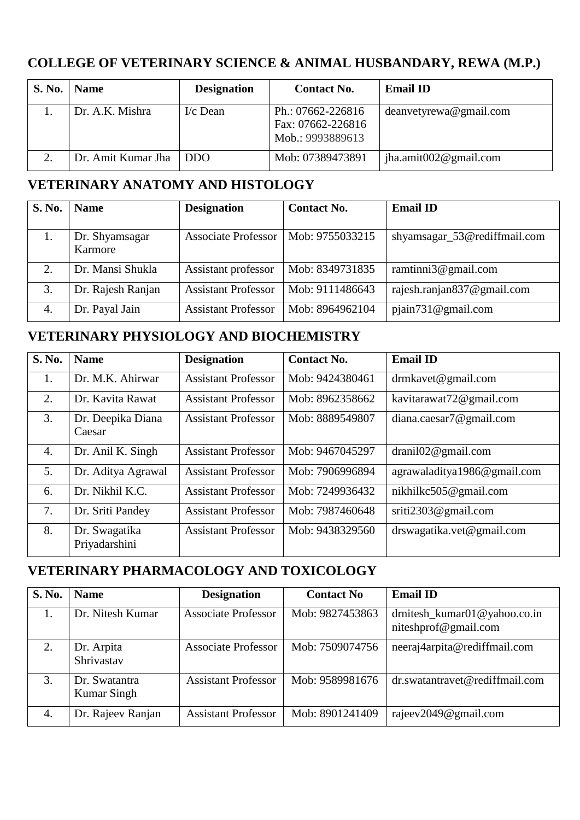# **COLLEGE OF VETERINARY SCIENCE & ANIMAL HUSBANDARY, REWA (M.P.)**

| <b>S. No.</b> | <b>Name</b>        | <b>Designation</b> | <b>Contact No.</b>                                         | <b>Email ID</b>           |
|---------------|--------------------|--------------------|------------------------------------------------------------|---------------------------|
|               | Dr. A.K. Mishra    | $I/c$ Dean         | Ph.: 07662-226816<br>Fax: 07662-226816<br>Mob.: 9993889613 | deanvetyrewa@gmail.com    |
|               | Dr. Amit Kumar Jha | DDO.               | Mob: 07389473891                                           | jha.amit $002@$ gmail.com |

#### **VETERINARY ANATOMY AND HISTOLOGY**

| <b>S. No.</b> | <b>Name</b>               | <b>Designation</b>         | <b>Contact No.</b> | <b>Email ID</b>              |
|---------------|---------------------------|----------------------------|--------------------|------------------------------|
|               |                           |                            |                    |                              |
| 1.            | Dr. Shyamsagar<br>Karmore | <b>Associate Professor</b> | Mob: 9755033215    | shyamsagar_53@rediffmail.com |
| 2.            | Dr. Mansi Shukla          | Assistant professor        | Mob: 8349731835    | ramtinni $3@$ gmail.com      |
| 3.            | Dr. Rajesh Ranjan         | <b>Assistant Professor</b> | Mob: 9111486643    | rajesh.ranjan837@gmail.com   |
| 4.            | Dr. Payal Jain            | <b>Assistant Professor</b> | Mob: 8964962104    | pjain731@gmail.com           |

#### **VETERINARY PHYSIOLOGY AND BIOCHEMISTRY**

| S. No. | <b>Name</b>                    | <b>Designation</b>         | <b>Contact No.</b> | <b>Email ID</b>              |
|--------|--------------------------------|----------------------------|--------------------|------------------------------|
| 1.     | Dr. M.K. Ahirwar               | <b>Assistant Professor</b> | Mob: 9424380461    | drmkavet@gmail.com           |
| 2.     | Dr. Kavita Rawat               | <b>Assistant Professor</b> | Mob: 8962358662    | kavitarawat72@gmail.com      |
| 3.     | Dr. Deepika Diana<br>Caesar    | <b>Assistant Professor</b> | Mob: 8889549807    | diana.caesar7@gmail.com      |
| 4.     | Dr. Anil K. Singh              | <b>Assistant Professor</b> | Mob: 9467045297    | drani102@gmail.com           |
| 5.     | Dr. Aditya Agrawal             | <b>Assistant Professor</b> | Mob: 7906996894    | agrawaladitya1986@gmail.com  |
| 6.     | Dr. Nikhil K.C.                | <b>Assistant Professor</b> | Mob: 7249936432    | nikhilkc505@gmail.com        |
| 7.     | Dr. Sriti Pandey               | <b>Assistant Professor</b> | Mob: 7987460648    | sriti $2303@$ gmail.com      |
| 8.     | Dr. Swagatika<br>Priyadarshini | <b>Assistant Professor</b> | Mob: 9438329560    | $d$ rswagatika.vet@gmail.com |

#### **VETERINARY PHARMACOLOGY AND TOXICOLOGY**

| <b>S. No.</b> | <b>Name</b>                         | <b>Designation</b>         | <b>Contact No</b> | <b>Email ID</b>                                      |
|---------------|-------------------------------------|----------------------------|-------------------|------------------------------------------------------|
| 1.            | Dr. Nitesh Kumar                    | <b>Associate Professor</b> | Mob: 9827453863   | drnitesh_kumar01@yahoo.co.in<br>niteshprof@gmail.com |
| 2.            | Dr. Arpita<br>Shrivastav            | <b>Associate Professor</b> | Mob: 7509074756   | neeraj4arpita@rediffmail.com                         |
| 3.            | Dr. Swatantra<br><b>Kumar Singh</b> | <b>Assistant Professor</b> | Mob: 9589981676   | dr.swatantravet@rediffmail.com                       |
| 4.            | Dr. Rajeev Ranjan                   | <b>Assistant Professor</b> | Mob: 8901241409   | rajeev2049@gmail.com                                 |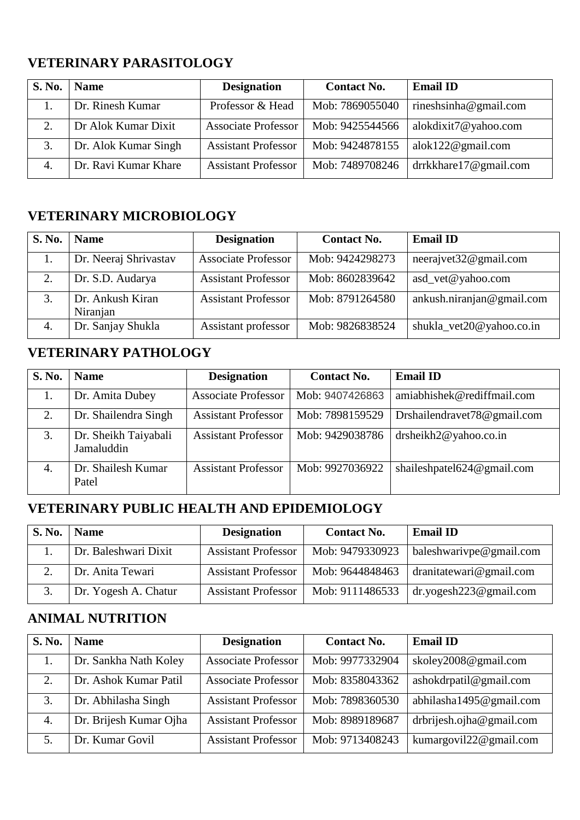## **VETERINARY PARASITOLOGY**

| <b>S. No.</b> | <b>Name</b>          | <b>Designation</b>         | <b>Contact No.</b> | <b>Email ID</b>       |
|---------------|----------------------|----------------------------|--------------------|-----------------------|
|               | Dr. Rinesh Kumar     | Professor & Head           | Mob: 7869055040    | rineshsinha@gmail.com |
|               | Dr Alok Kumar Dixit  | <b>Associate Professor</b> | Mob: 9425544566    | alokdixit7@yahoo.com  |
| 3.            | Dr. Alok Kumar Singh | <b>Assistant Professor</b> | Mob: 9424878155    | alok122@gmail.com     |
| 4.            | Dr. Ravi Kumar Khare | <b>Assistant Professor</b> | Mob: 7489708246    | drrkkhare17@gmail.com |

## **VETERINARY MICROBIOLOGY**

| S. No. | <b>Name</b>                  | <b>Designation</b>         | <b>Contact No.</b> | <b>Email ID</b>           |
|--------|------------------------------|----------------------------|--------------------|---------------------------|
|        | Dr. Neeraj Shrivastav        | <b>Associate Professor</b> | Mob: 9424298273    | neerajvet32@gmail.com     |
| 2.     | Dr. S.D. Audarya             | <b>Assistant Professor</b> | Mob: 8602839642    | asd_vet@yahoo.com         |
|        | Dr. Ankush Kiran<br>Niranjan | <b>Assistant Professor</b> | Mob: 8791264580    | ankush.niranjan@gmail.com |
| 4.     | Dr. Sanjay Shukla            | Assistant professor        | Mob: 9826838524    | shukla_vet20@yahoo.co.in  |

## **VETERINARY PATHOLOGY**

| <b>S. No.</b> | <b>Name</b>                        | <b>Designation</b>         | <b>Contact No.</b> | <b>Email ID</b>             |
|---------------|------------------------------------|----------------------------|--------------------|-----------------------------|
|               | Dr. Amita Dubey                    | <b>Associate Professor</b> | Mob: 9407426863    | amiabhishek@rediffmail.com  |
| 2.            | Dr. Shailendra Singh               | <b>Assistant Professor</b> | Mob: 7898159529    | Drshailendravet78@gmail.com |
| 3.            | Dr. Sheikh Taiyabali<br>Jamaluddin | <b>Assistant Professor</b> | Mob: 9429038786    | drsheikh2@yahoo.co.in       |
| 4.            | Dr. Shailesh Kumar<br>Patel        | <b>Assistant Professor</b> | Mob: 9927036922    | shaileshpatel624@gmail.com  |

# **VETERINARY PUBLIC HEALTH AND EPIDEMIOLOGY**

| S. No. | <b>Name</b>          | <b>Designation</b>         | <b>Contact No.</b> | <b>Email ID</b>           |
|--------|----------------------|----------------------------|--------------------|---------------------------|
|        | Dr. Baleshwari Dixit | <b>Assistant Professor</b> | Mob: 9479330923    | baleshwarivpe@gmail.com   |
|        | Dr. Anita Tewari     | <b>Assistant Professor</b> | Mob: 9644848463    | dranitatewari@gmail.com   |
|        | Dr. Yogesh A. Chatur | <b>Assistant Professor</b> | Mob: 9111486533    | $dr$ .yogesh223@gmail.com |

# **ANIMAL NUTRITION**

| S. No. | <b>Name</b>            | <b>Designation</b>         | <b>Contact No.</b> | <b>Email ID</b>          |
|--------|------------------------|----------------------------|--------------------|--------------------------|
| 1.     | Dr. Sankha Nath Koley  | <b>Associate Professor</b> | Mob: 9977332904    | skoley2008@gmail.com     |
| 2.     | Dr. Ashok Kumar Patil  | <b>Associate Professor</b> | Mob: 8358043362    | ashokdrpatil@gmail.com   |
| 3.     | Dr. Abhilasha Singh    | <b>Assistant Professor</b> | Mob: 7898360530    | abhilasha1495@gmail.com  |
| 4.     | Dr. Brijesh Kumar Ojha | <b>Assistant Professor</b> | Mob: 8989189687    | drbrijesh.ojha@gmail.com |
| 5.     | Dr. Kumar Govil        | <b>Assistant Professor</b> | Mob: 9713408243    | kumargovil22@gmail.com   |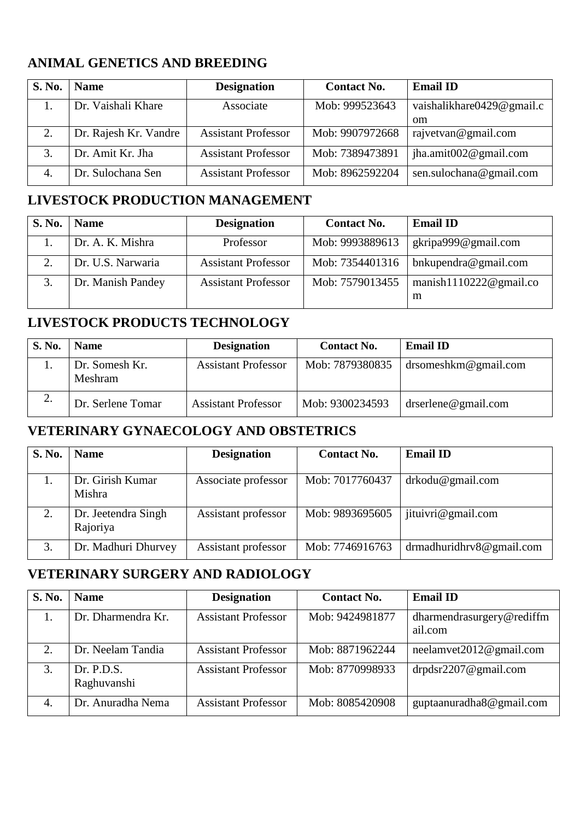## **ANIMAL GENETICS AND BREEDING**

| S. No. | <b>Name</b>           | <b>Designation</b>         | <b>Contact No.</b> | <b>Email ID</b>           |
|--------|-----------------------|----------------------------|--------------------|---------------------------|
|        | Dr. Vaishali Khare    | Associate                  | Mob: 999523643     | vaishalikhare0429@gmail.c |
|        |                       |                            |                    | om                        |
| 2.     | Dr. Rajesh Kr. Vandre | <b>Assistant Professor</b> | Mob: 9907972668    | rajvetvan@gmail.com       |
| 3.     | Dr. Amit Kr. Jha      | <b>Assistant Professor</b> | Mob: 7389473891    | jha.amit $002@$ gmail.com |
| 4.     | Dr. Sulochana Sen     | <b>Assistant Professor</b> | Mob: 8962592204    | sen.sulochana@gmail.com   |

#### **LIVESTOCK PRODUCTION MANAGEMENT**

| S. No. | <b>Name</b>       | <b>Designation</b>         | <b>Contact No.</b> | <b>Email ID</b>                 |
|--------|-------------------|----------------------------|--------------------|---------------------------------|
|        | Dr. A. K. Mishra  | Professor                  | Mob: 9993889613    | gkripa999@gmail.com             |
| 2.     | Dr. U.S. Narwaria | <b>Assistant Professor</b> | Mob: 7354401316    | bnkupendra@gmail.com            |
|        | Dr. Manish Pandey | <b>Assistant Professor</b> | Mob: 7579013455    | manish $1110222@$ gmail.co<br>m |

## **LIVESTOCK PRODUCTS TECHNOLOGY**

| S. No. | <b>Name</b>               | <b>Designation</b>         | <b>Contact No.</b> | <b>Email ID</b>         |
|--------|---------------------------|----------------------------|--------------------|-------------------------|
|        | Dr. Somesh Kr.<br>Meshram | <b>Assistant Professor</b> | Mob: 7879380835    | $dr$ someshkm@gmail.com |
| 2.     | Dr. Serlene Tomar         | <b>Assistant Professor</b> | Mob: 9300234593    | $d$ rserlene@gmail.com  |

#### **VETERINARY GYNAECOLOGY AND OBSTETRICS**

| <b>S. No.</b> | <b>Name</b>                     | <b>Designation</b>  | <b>Contact No.</b> | <b>Email ID</b>              |
|---------------|---------------------------------|---------------------|--------------------|------------------------------|
|               | Dr. Girish Kumar<br>Mishra      | Associate professor | Mob: 7017760437    | drkodu@gmail.com             |
| 2.            | Dr. Jeetendra Singh<br>Rajoriya | Assistant professor | Mob: 9893695605    | jituivri@gmail.com           |
| 3.            | Dr. Madhuri Dhurvey             | Assistant professor | Mob: 7746916763    | drmadhuridhrv $8@$ gmail.com |

# **VETERINARY SURGERY AND RADIOLOGY**

| <b>S. No.</b> | <b>Name</b>               | <b>Designation</b>         | <b>Contact No.</b> | <b>Email ID</b>                      |
|---------------|---------------------------|----------------------------|--------------------|--------------------------------------|
|               | Dr. Dharmendra Kr.        | <b>Assistant Professor</b> | Mob: 9424981877    | dharmendrasurgery@rediffm<br>ail.com |
| 2             | Dr. Neelam Tandia         | <b>Assistant Professor</b> | Mob: 8871962244    | neelamvet2012@gmail.com              |
| 3.            | Dr. P.D.S.<br>Raghuvanshi | <b>Assistant Professor</b> | Mob: 8770998933    | $drpdsr2207$ @gmail.com              |
| 4.            | Dr. Anuradha Nema         | <b>Assistant Professor</b> | Mob: 8085420908    | guptaanuradha8@gmail.com             |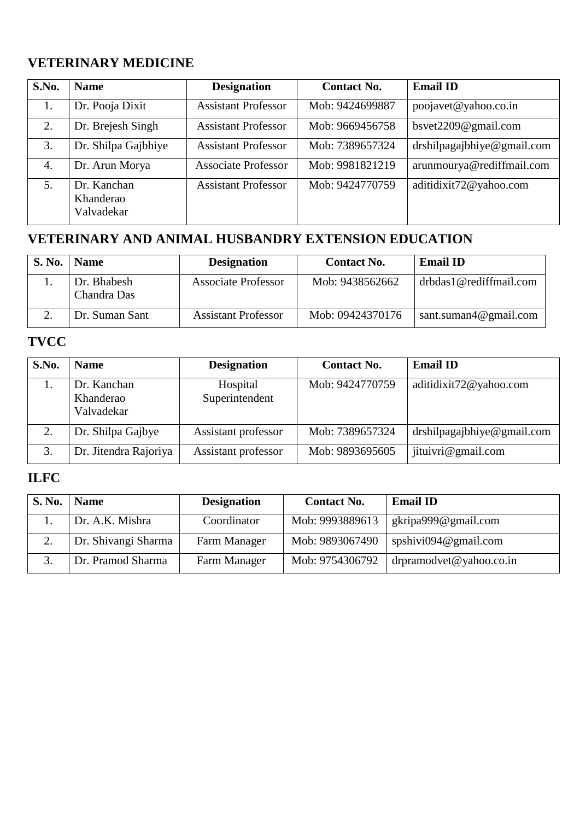## **VETERINARY MEDICINE**

| S.No. | <b>Name</b>                            | <b>Designation</b>         | <b>Contact No.</b> | <b>Email ID</b>            |
|-------|----------------------------------------|----------------------------|--------------------|----------------------------|
| 1.    | Dr. Pooja Dixit                        | <b>Assistant Professor</b> | Mob: 9424699887    | poojavet@yahoo.co.in       |
| 2.    | Dr. Brejesh Singh                      | <b>Assistant Professor</b> | Mob: 9669456758    | bsvet2209@gmail.com        |
| 3.    | Dr. Shilpa Gajbhiye                    | <b>Assistant Professor</b> | Mob: 7389657324    | drshilpagajbhiye@gmail.com |
| 4.    | Dr. Arun Morya                         | <b>Associate Professor</b> | Mob: 9981821219    | arunmourya@rediffmail.com  |
| 5.    | Dr. Kanchan<br>Khanderao<br>Valvadekar | <b>Assistant Professor</b> | Mob: 9424770759    | aditidixit72@yahoo.com     |

# **VETERINARY AND ANIMAL HUSBANDRY EXTENSION EDUCATION**

| <b>S. No.</b> | <b>Name</b>                | <b>Designation</b>         | <b>Contact No.</b> | <b>Email ID</b>        |
|---------------|----------------------------|----------------------------|--------------------|------------------------|
|               | Dr. Bhabesh<br>Chandra Das | <b>Associate Professor</b> | Mob: 9438562662    | drbdas1@rediffmail.com |
|               | Dr. Suman Sant             | <b>Assistant Professor</b> | Mob: 09424370176   | sant.suman4@gmail.com  |

## **TVCC**

| S.No. | <b>Name</b>                            | <b>Designation</b>         | <b>Contact No.</b> | <b>Email ID</b>            |
|-------|----------------------------------------|----------------------------|--------------------|----------------------------|
|       | Dr. Kanchan<br>Khanderao<br>Valvadekar | Hospital<br>Superintendent | Mob: 9424770759    | aditidixit72@yahoo.com     |
| 2.    | Dr. Shilpa Gajbye                      | Assistant professor        | Mob: 7389657324    | drshilpagajbhiye@gmail.com |
|       | Dr. Jitendra Rajoriya                  | Assistant professor        | Mob: 9893695605    | jituivri@gmail.com         |

# **ILFC**

| S. No.        | <b>Name</b>         | <b>Designation</b> | <b>Contact No.</b> | <b>Email ID</b>                  |
|---------------|---------------------|--------------------|--------------------|----------------------------------|
|               | Dr. A.K. Mishra     | Coordinator        | Mob: 9993889613    | gkripa999@gmail.com              |
| $\mathcal{D}$ | Dr. Shivangi Sharma | Farm Manager       | Mob: 9893067490    | spshivi094@gmail.com             |
|               | Dr. Pramod Sharma   | Farm Manager       | Mob: 9754306792    | $\int$ drpramodvet @ yahoo.co.in |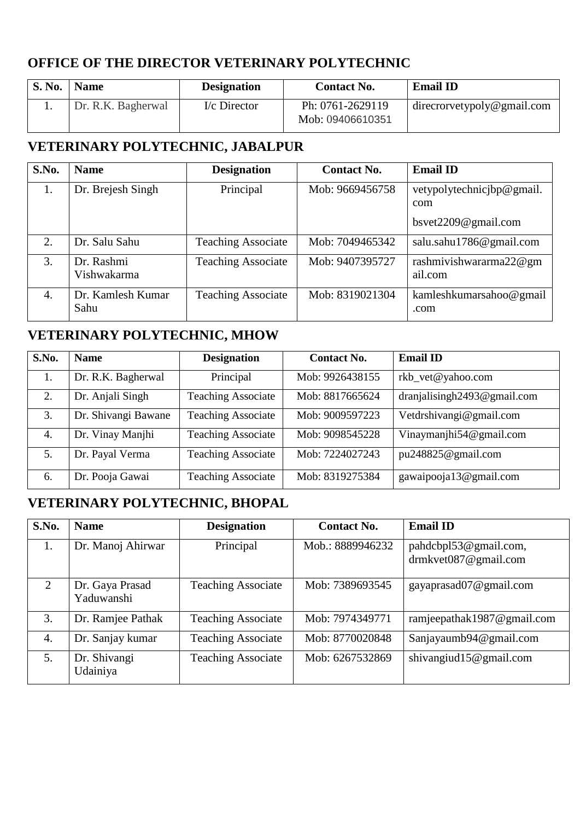### **OFFICE OF THE DIRECTOR VETERINARY POLYTECHNIC**

| S. No. | <b>Name</b>        | <b>Designation</b> | <b>Contact No.</b>                   | <b>Email ID</b>            |
|--------|--------------------|--------------------|--------------------------------------|----------------------------|
|        | Dr. R.K. Bagherwal | I/c Director       | Ph: 0761-2629119<br>Mob: 09406610351 | direcrorvetypoly@gmail.com |

# **VETERINARY POLYTECHNIC, JABALPUR**

| S.No. | <b>Name</b>               | <b>Designation</b>        | <b>Contact No.</b> | <b>Email ID</b>                   |
|-------|---------------------------|---------------------------|--------------------|-----------------------------------|
| 1.    | Dr. Brejesh Singh         | Principal                 | Mob: 9669456758    | vetypolytechnicjbp@gmail.<br>com  |
|       |                           |                           |                    | bsvet2209@gmail.com               |
| 2.    | Dr. Salu Sahu             | <b>Teaching Associate</b> | Mob: 7049465342    | salu.sahu1786@gmail.com           |
| 3.    | Dr. Rashmi<br>Vishwakarma | <b>Teaching Associate</b> | Mob: 9407395727    | rashmivishwararma22@gm<br>ail.com |
| 4.    | Dr. Kamlesh Kumar<br>Sahu | <b>Teaching Associate</b> | Mob: 8319021304    | kamleshkumarsahoo@gmail<br>.com   |

## **VETERINARY POLYTECHNIC, MHOW**

| S.No. | <b>Name</b>         | <b>Designation</b>        | <b>Contact No.</b> | <b>Email ID</b>                 |
|-------|---------------------|---------------------------|--------------------|---------------------------------|
|       | Dr. R.K. Bagherwal  | Principal                 | Mob: 9926438155    | rkb_vet@yahoo.com               |
| 2.    | Dr. Anjali Singh    | <b>Teaching Associate</b> | Mob: 8817665624    | dranjalisingh $2493@$ gmail.com |
| 3.    | Dr. Shivangi Bawane | <b>Teaching Associate</b> | Mob: 9009597223    | Vetdrshivangi@gmail.com         |
| 4.    | Dr. Vinay Manjhi    | <b>Teaching Associate</b> | Mob: 9098545228    | Vinaymanjhi54@gmail.com         |
| 5.    | Dr. Payal Verma     | <b>Teaching Associate</b> | Mob: 7224027243    | pu248825@gmail.com              |
| 6.    | Dr. Pooja Gawai     | <b>Teaching Associate</b> | Mob: 8319275384    | gawaipooja13@gmail.com          |

# **VETERINARY POLYTECHNIC, BHOPAL**

| S.No. | <b>Name</b>                   | <b>Designation</b>        | <b>Contact No.</b> | <b>Email ID</b>                                   |
|-------|-------------------------------|---------------------------|--------------------|---------------------------------------------------|
| 1.    | Dr. Manoj Ahirwar             | Principal                 | Mob.: 8889946232   | pahdcbpl53@gmail.com,<br>drmkvet $087@$ gmail.com |
| 2     | Dr. Gaya Prasad<br>Yaduwanshi | <b>Teaching Associate</b> | Mob: 7389693545    | gayaprasad07@gmail.com                            |
| 3.    | Dr. Ramjee Pathak             | <b>Teaching Associate</b> | Mob: 7974349771    | ramjeepathak1987@gmail.com                        |
| 4.    | Dr. Sanjay kumar              | <b>Teaching Associate</b> | Mob: 8770020848    | Sanjayaumb94@gmail.com                            |
| 5.    | Dr. Shivangi<br>Udainiya      | <b>Teaching Associate</b> | Mob: 6267532869    | shivangiud15@gmail.com                            |